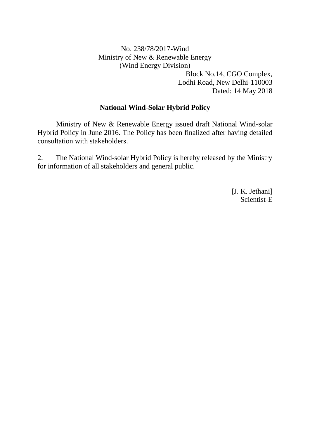### No. 238/78/2017-Wind Ministry of New & Renewable Energy (Wind Energy Division) Block No.14, CGO Complex, Lodhi Road, New Delhi-110003 Dated: 14 May 2018

#### **National Wind-Solar Hybrid Policy**

Ministry of New & Renewable Energy issued draft National Wind-solar Hybrid Policy in June 2016. The Policy has been finalized after having detailed consultation with stakeholders.

2. The National Wind-solar Hybrid Policy is hereby released by the Ministry for information of all stakeholders and general public.

> [J. K. Jethani] Scientist-E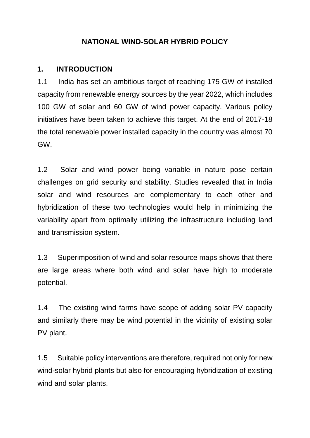### **NATIONAL WIND-SOLAR HYBRID POLICY**

#### **1. INTRODUCTION**

1.1 India has set an ambitious target of reaching 175 GW of installed capacity from renewable energy sources by the year 2022, which includes 100 GW of solar and 60 GW of wind power capacity. Various policy initiatives have been taken to achieve this target. At the end of 2017-18 the total renewable power installed capacity in the country was almost 70 GW.

1.2 Solar and wind power being variable in nature pose certain challenges on grid security and stability. Studies revealed that in India solar and wind resources are complementary to each other and hybridization of these two technologies would help in minimizing the variability apart from optimally utilizing the infrastructure including land and transmission system.

1.3 Superimposition of wind and solar resource maps shows that there are large areas where both wind and solar have high to moderate potential.

1.4 The existing wind farms have scope of adding solar PV capacity and similarly there may be wind potential in the vicinity of existing solar PV plant.

1.5 Suitable policy interventions are therefore, required not only for new wind-solar hybrid plants but also for encouraging hybridization of existing wind and solar plants.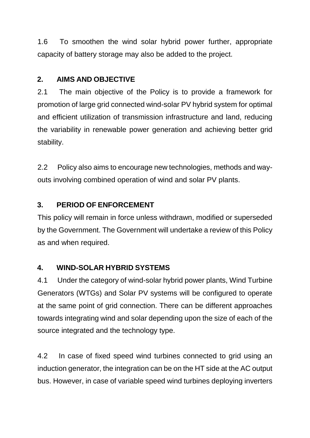1.6 To smoothen the wind solar hybrid power further, appropriate capacity of battery storage may also be added to the project.

# **2. AIMS AND OBJECTIVE**

2.1 The main objective of the Policy is to provide a framework for promotion of large grid connected wind-solar PV hybrid system for optimal and efficient utilization of transmission infrastructure and land, reducing the variability in renewable power generation and achieving better grid stability.

2.2 Policy also aims to encourage new technologies, methods and wayouts involving combined operation of wind and solar PV plants.

## **3. PERIOD OF ENFORCEMENT**

This policy will remain in force unless withdrawn, modified or superseded by the Government. The Government will undertake a review of this Policy as and when required.

### **4. WIND-SOLAR HYBRID SYSTEMS**

4.1 Under the category of wind-solar hybrid power plants, Wind Turbine Generators (WTGs) and Solar PV systems will be configured to operate at the same point of grid connection. There can be different approaches towards integrating wind and solar depending upon the size of each of the source integrated and the technology type.

4.2 In case of fixed speed wind turbines connected to grid using an induction generator, the integration can be on the HT side at the AC output bus. However, in case of variable speed wind turbines deploying inverters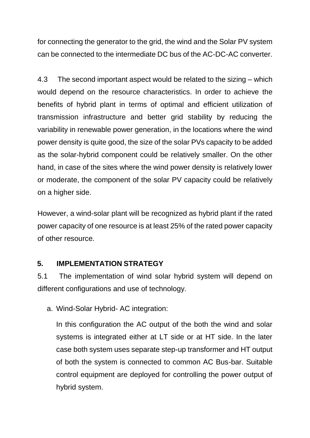for connecting the generator to the grid, the wind and the Solar PV system can be connected to the intermediate DC bus of the AC-DC-AC converter.

4.3 The second important aspect would be related to the sizing – which would depend on the resource characteristics. In order to achieve the benefits of hybrid plant in terms of optimal and efficient utilization of transmission infrastructure and better grid stability by reducing the variability in renewable power generation, in the locations where the wind power density is quite good, the size of the solar PVs capacity to be added as the solar-hybrid component could be relatively smaller. On the other hand, in case of the sites where the wind power density is relatively lower or moderate, the component of the solar PV capacity could be relatively on a higher side.

However, a wind-solar plant will be recognized as hybrid plant if the rated power capacity of one resource is at least 25% of the rated power capacity of other resource.

### **5. IMPLEMENTATION STRATEGY**

5.1 The implementation of wind solar hybrid system will depend on different configurations and use of technology.

a. Wind-Solar Hybrid- AC integration:

In this configuration the AC output of the both the wind and solar systems is integrated either at LT side or at HT side. In the later case both system uses separate step-up transformer and HT output of both the system is connected to common AC Bus-bar. Suitable control equipment are deployed for controlling the power output of hybrid system.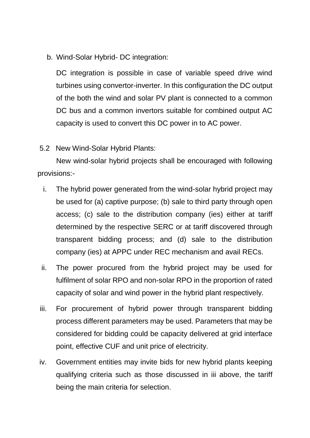b. Wind-Solar Hybrid- DC integration:

DC integration is possible in case of variable speed drive wind turbines using convertor-inverter. In this configuration the DC output of the both the wind and solar PV plant is connected to a common DC bus and a common invertors suitable for combined output AC capacity is used to convert this DC power in to AC power.

### 5.2 New Wind-Solar Hybrid Plants:

New wind-solar hybrid projects shall be encouraged with following provisions:-

- i. The hybrid power generated from the wind-solar hybrid project may be used for (a) captive purpose; (b) sale to third party through open access; (c) sale to the distribution company (ies) either at tariff determined by the respective SERC or at tariff discovered through transparent bidding process; and (d) sale to the distribution company (ies) at APPC under REC mechanism and avail RECs.
- ii. The power procured from the hybrid project may be used for fulfilment of solar RPO and non-solar RPO in the proportion of rated capacity of solar and wind power in the hybrid plant respectively.
- iii. For procurement of hybrid power through transparent bidding process different parameters may be used. Parameters that may be considered for bidding could be capacity delivered at grid interface point, effective CUF and unit price of electricity.
- iv. Government entities may invite bids for new hybrid plants keeping qualifying criteria such as those discussed in iii above, the tariff being the main criteria for selection.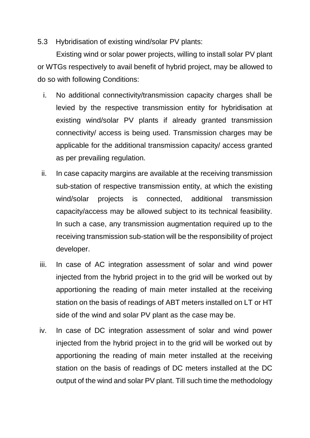### 5.3 Hybridisation of existing wind/solar PV plants:

Existing wind or solar power projects, willing to install solar PV plant or WTGs respectively to avail benefit of hybrid project, may be allowed to do so with following Conditions:

- i. No additional connectivity/transmission capacity charges shall be levied by the respective transmission entity for hybridisation at existing wind/solar PV plants if already granted transmission connectivity/ access is being used. Transmission charges may be applicable for the additional transmission capacity/ access granted as per prevailing regulation.
- ii. In case capacity margins are available at the receiving transmission sub-station of respective transmission entity, at which the existing wind/solar projects is connected, additional transmission capacity/access may be allowed subject to its technical feasibility. In such a case, any transmission augmentation required up to the receiving transmission sub-station will be the responsibility of project developer.
- iii. In case of AC integration assessment of solar and wind power injected from the hybrid project in to the grid will be worked out by apportioning the reading of main meter installed at the receiving station on the basis of readings of ABT meters installed on LT or HT side of the wind and solar PV plant as the case may be.
- iv. In case of DC integration assessment of solar and wind power injected from the hybrid project in to the grid will be worked out by apportioning the reading of main meter installed at the receiving station on the basis of readings of DC meters installed at the DC output of the wind and solar PV plant. Till such time the methodology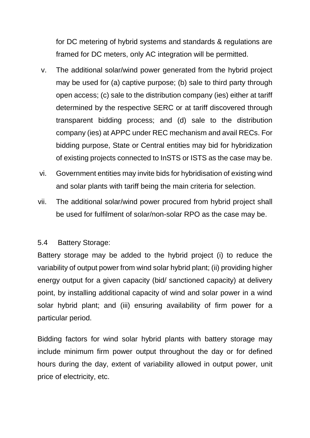for DC metering of hybrid systems and standards & regulations are framed for DC meters, only AC integration will be permitted.

- v. The additional solar/wind power generated from the hybrid project may be used for (a) captive purpose; (b) sale to third party through open access; (c) sale to the distribution company (ies) either at tariff determined by the respective SERC or at tariff discovered through transparent bidding process; and (d) sale to the distribution company (ies) at APPC under REC mechanism and avail RECs. For bidding purpose, State or Central entities may bid for hybridization of existing projects connected to InSTS or ISTS as the case may be.
- vi. Government entities may invite bids for hybridisation of existing wind and solar plants with tariff being the main criteria for selection.
- vii. The additional solar/wind power procured from hybrid project shall be used for fulfilment of solar/non-solar RPO as the case may be.

#### 5.4 Battery Storage:

Battery storage may be added to the hybrid project (i) to reduce the variability of output power from wind solar hybrid plant; (ii) providing higher energy output for a given capacity (bid/ sanctioned capacity) at delivery point, by installing additional capacity of wind and solar power in a wind solar hybrid plant; and (iii) ensuring availability of firm power for a particular period.

Bidding factors for wind solar hybrid plants with battery storage may include minimum firm power output throughout the day or for defined hours during the day, extent of variability allowed in output power, unit price of electricity, etc.